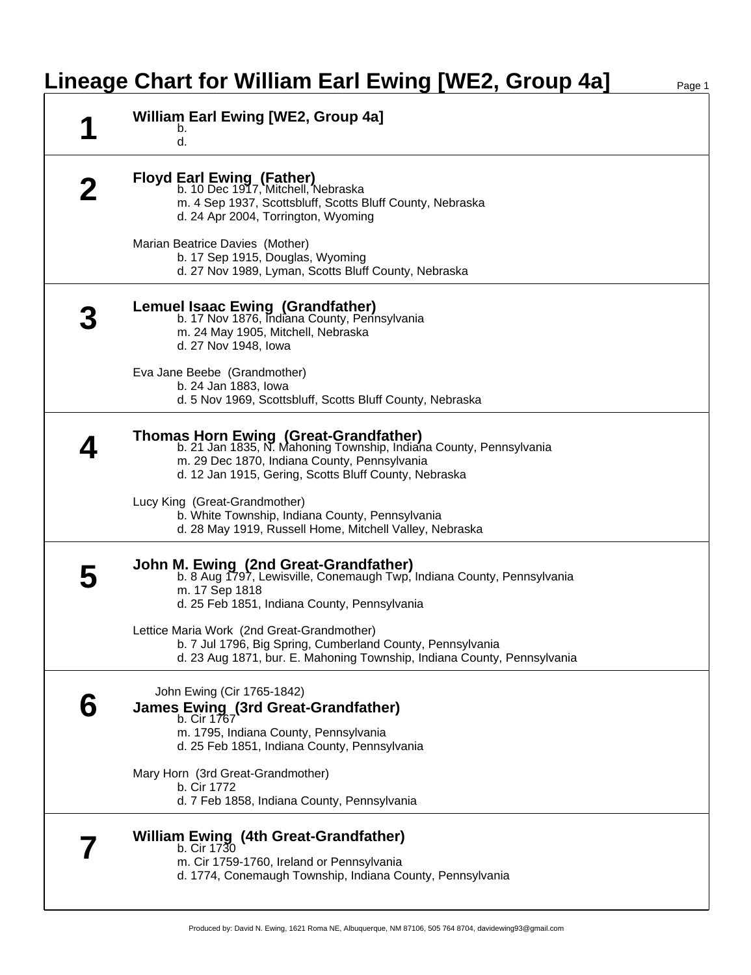## **Lineage Chart for William Earl Ewing [WE2, Group 4a]** Page 1

| <b>William Earl Ewing [WE2, Group 4a]</b><br>b.<br>d.                                                                                                                                                                |
|----------------------------------------------------------------------------------------------------------------------------------------------------------------------------------------------------------------------|
| <b>Floyd Earl Ewing (Father)</b><br>b. 10 Dec 1917, Mitchell, Nebraska<br>m. 4 Sep 1937, Scottsbluff, Scotts Bluff County, Nebraska<br>d. 24 Apr 2004, Torrington, Wyoming                                           |
| Marian Beatrice Davies (Mother)<br>b. 17 Sep 1915, Douglas, Wyoming<br>d. 27 Nov 1989, Lyman, Scotts Bluff County, Nebraska                                                                                          |
| Lemuel Isaac Ewing (Grandfather)<br>b. 17 Nov 1876, Indiana County, Pennsylvania<br>m. 24 May 1905, Mitchell, Nebraska<br>d. 27 Nov 1948, Iowa                                                                       |
| Eva Jane Beebe (Grandmother)<br>b. 24 Jan 1883, lowa<br>d. 5 Nov 1969, Scottsbluff, Scotts Bluff County, Nebraska                                                                                                    |
| Thomas Horn Ewing (Great-Grandfather)<br>b. 21 Jan 1835, N. Mahoning Township, Indiana County, Pennsylvania<br>m. 29 Dec 1870, Indiana County, Pennsylvania<br>d. 12 Jan 1915, Gering, Scotts Bluff County, Nebraska |
| Lucy King (Great-Grandmother)<br>b. White Township, Indiana County, Pennsylvania<br>d. 28 May 1919, Russell Home, Mitchell Valley, Nebraska                                                                          |
| John M. Ewing (2nd Great-Grandfather)<br>b. 8 Aug 1797, Lewisville, Conemaugh Twp, Indiana County, Pennsylvania<br>m. 17 Sep 1818<br>d. 25 Feb 1851, Indiana County, Pennsylvania                                    |
| Lettice Maria Work (2nd Great-Grandmother)<br>b. 7 Jul 1796, Big Spring, Cumberland County, Pennsylvania<br>d. 23 Aug 1871, bur. E. Mahoning Township, Indiana County, Pennsylvania                                  |
| John Ewing (Cir 1765-1842)<br><b>James Ewing (3rd Great-Grandfather)</b><br>b. Cir 1767<br>m. 1795, Indiana County, Pennsylvania<br>d. 25 Feb 1851, Indiana County, Pennsylvania                                     |
| Mary Horn (3rd Great-Grandmother)<br>b. Cir 1772<br>d. 7 Feb 1858, Indiana County, Pennsylvania                                                                                                                      |
| <b>William Ewing (4th Great-Grandfather)</b><br>b. Cir 1730<br>m. Cir 1759-1760, Ireland or Pennsylvania<br>d. 1774, Conemaugh Township, Indiana County, Pennsylvania                                                |